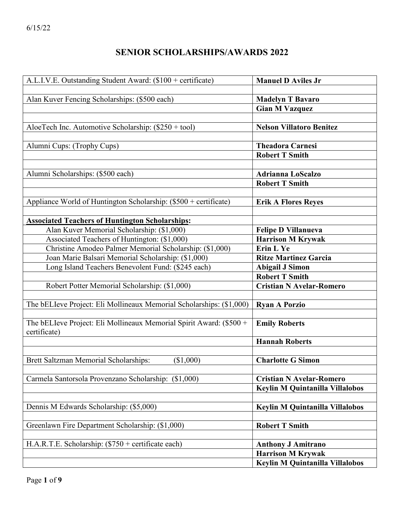# **SENIOR SCHOLARSHIPS/AWARDS 2022**

| A.L.I.V.E. Outstanding Student Award: (\$100 + certificate)          | <b>Manuel D Aviles Jr</b>              |
|----------------------------------------------------------------------|----------------------------------------|
|                                                                      |                                        |
| Alan Kuver Fencing Scholarships: (\$500 each)                        | <b>Madelyn T Bavaro</b>                |
|                                                                      | <b>Gian M Vazquez</b>                  |
|                                                                      |                                        |
| AloeTech Inc. Automotive Scholarship: $(\$250 + tool)$               | <b>Nelson Villatoro Benitez</b>        |
|                                                                      |                                        |
| Alumni Cups: (Trophy Cups)                                           | <b>Theadora Carnesi</b>                |
|                                                                      | <b>Robert T Smith</b>                  |
|                                                                      |                                        |
| Alumni Scholarships: (\$500 each)                                    | <b>Adrianna LoScalzo</b>               |
|                                                                      | <b>Robert T Smith</b>                  |
|                                                                      |                                        |
| Appliance World of Huntington Scholarship: (\$500 + certificate)     | <b>Erik A Flores Reyes</b>             |
|                                                                      |                                        |
| <b>Associated Teachers of Huntington Scholarships:</b>               |                                        |
| Alan Kuver Memorial Scholarship: (\$1,000)                           | <b>Felipe D Villanueva</b>             |
| Associated Teachers of Huntington: (\$1,000)                         | <b>Harrison M Krywak</b>               |
| Christine Amodeo Palmer Memorial Scholarship: (\$1,000)              | Erin L Ye                              |
| Joan Marie Balsari Memorial Scholarship: (\$1,000)                   | <b>Ritze Martinez Garcia</b>           |
| Long Island Teachers Benevolent Fund: (\$245 each)                   | <b>Abigail J Simon</b>                 |
|                                                                      | <b>Robert T Smith</b>                  |
| Robert Potter Memorial Scholarship: (\$1,000)                        | <b>Cristian N Avelar-Romero</b>        |
|                                                                      |                                        |
| The bELIeve Project: Eli Mollineaux Memorial Scholarships: (\$1,000) | <b>Ryan A Porzio</b>                   |
|                                                                      |                                        |
| The bELIeve Project: Eli Mollineaux Memorial Spirit Award: (\$500 +  | <b>Emily Roberts</b>                   |
| certificate)                                                         |                                        |
|                                                                      | <b>Hannah Roberts</b>                  |
|                                                                      |                                        |
| Brett Saltzman Memorial Scholarships:<br>(\$1,000)                   | <b>Charlotte G Simon</b>               |
|                                                                      |                                        |
| Carmela Santorsola Provenzano Scholarship: (\$1,000)                 | <b>Cristian N Avelar-Romero</b>        |
|                                                                      | Keylin M Quintanilla Villalobos        |
|                                                                      |                                        |
| Dennis M Edwards Scholarship: (\$5,000)                              | <b>Keylin M Quintanilla Villalobos</b> |
|                                                                      |                                        |
| Greenlawn Fire Department Scholarship: (\$1,000)                     | <b>Robert T Smith</b>                  |
|                                                                      |                                        |
| H.A.R.T.E. Scholarship: $(\$750 +$ certificate each)                 | <b>Anthony J Amitrano</b>              |
|                                                                      | <b>Harrison M Krywak</b>               |
|                                                                      | Keylin M Quintanilla Villalobos        |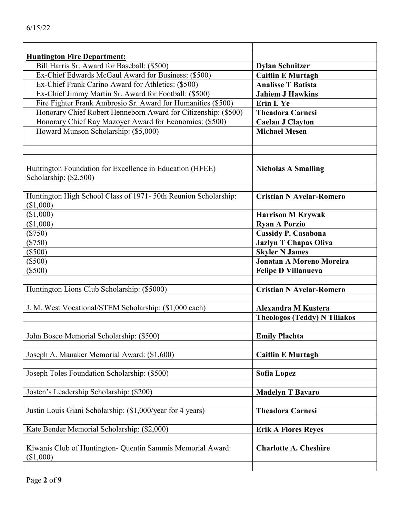| <b>Huntington Fire Department:</b>                                                 |                                     |
|------------------------------------------------------------------------------------|-------------------------------------|
| Bill Harris Sr. Award for Baseball: (\$500)                                        | <b>Dylan Schnitzer</b>              |
| Ex-Chief Edwards McGaul Award for Business: (\$500)                                | <b>Caitlin E Murtagh</b>            |
| Ex-Chief Frank Carino Award for Athletics: (\$500)                                 | <b>Analisse T Batista</b>           |
| Ex-Chief Jimmy Martin Sr. Award for Football: (\$500)                              | <b>Jahiem J Hawkins</b>             |
| Fire Fighter Frank Ambrosio Sr. Award for Humanities (\$500)                       | <b>Erin L Ye</b>                    |
| Honorary Chief Robert Henneborn Award for Citizenship: (\$500)                     | <b>Theadora Carnesi</b>             |
| Honorary Chief Ray Mazoyer Award for Economics: (\$500)                            | <b>Caelan J Clayton</b>             |
| Howard Munson Scholarship: (\$5,000)                                               | <b>Michael Mesen</b>                |
|                                                                                    |                                     |
|                                                                                    |                                     |
|                                                                                    |                                     |
| Huntington Foundation for Excellence in Education (HFEE)<br>Scholarship: (\$2,500) | <b>Nicholas A Smalling</b>          |
| Huntington High School Class of 1971-50th Reunion Scholarship:<br>(\$1,000)        | <b>Cristian N Avelar-Romero</b>     |
| (\$1,000)                                                                          | <b>Harrison M Krywak</b>            |
| (\$1,000)                                                                          | <b>Ryan A Porzio</b>                |
| $(\$750)$                                                                          | <b>Cassidy P. Casabona</b>          |
| $(\$750)$                                                                          | <b>Jazlyn T Chapas Oliva</b>        |
| $(\$500)$                                                                          | <b>Skyler N James</b>               |
| $(\$500)$                                                                          | <b>Jonatan A Moreno Moreira</b>     |
| $(\$500)$                                                                          | <b>Felipe D Villanueva</b>          |
|                                                                                    |                                     |
| Huntington Lions Club Scholarship: (\$5000)                                        | <b>Cristian N Avelar-Romero</b>     |
|                                                                                    |                                     |
| J. M. West Vocational/STEM Scholarship: (\$1,000 each)                             | <b>Alexandra M Kustera</b>          |
|                                                                                    | <b>Theologos (Teddy) N Tiliakos</b> |
|                                                                                    |                                     |
| John Bosco Memorial Scholarship: (\$500)                                           | <b>Emily Plachta</b>                |
|                                                                                    |                                     |
| Joseph A. Manaker Memorial Award: (\$1,600)                                        | <b>Caitlin E Murtagh</b>            |
|                                                                                    |                                     |
| Joseph Toles Foundation Scholarship: (\$500)                                       | <b>Sofia Lopez</b>                  |
|                                                                                    |                                     |
| Josten's Leadership Scholarship: (\$200)                                           | <b>Madelyn T Bavaro</b>             |
|                                                                                    |                                     |
| Justin Louis Giani Scholarship: (\$1,000/year for 4 years)                         | <b>Theadora Carnesi</b>             |
|                                                                                    |                                     |
| Kate Bender Memorial Scholarship: (\$2,000)                                        | <b>Erik A Flores Reyes</b>          |
|                                                                                    |                                     |
| Kiwanis Club of Huntington- Quentin Sammis Memorial Award:<br>(\$1,000)            | <b>Charlotte A. Cheshire</b>        |
|                                                                                    |                                     |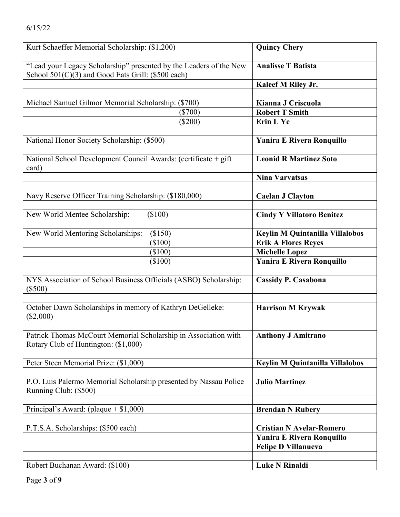| Kurt Schaeffer Memorial Scholarship: (\$1,200)                     | <b>Quincy Chery</b>                    |
|--------------------------------------------------------------------|----------------------------------------|
|                                                                    |                                        |
| "Lead your Legacy Scholarship" presented by the Leaders of the New | <b>Analisse T Batista</b>              |
| School 501(C)(3) and Good Eats Grill: (\$500 each)                 |                                        |
|                                                                    | Kaleef M Riley Jr.                     |
|                                                                    |                                        |
| Michael Samuel Gilmor Memorial Scholarship: (\$700)                | Kianna J Criscuola                     |
| $(\$700)$                                                          | <b>Robert T Smith</b>                  |
| $(\$200)$                                                          | <b>Erin L Ye</b>                       |
|                                                                    |                                        |
| National Honor Society Scholarship: (\$500)                        | Yanira E Rivera Ronquillo              |
|                                                                    |                                        |
| National School Development Council Awards: (certificate + gift    | <b>Leonid R Martinez Soto</b>          |
| card)                                                              | <b>Nina Varvatsas</b>                  |
|                                                                    |                                        |
| Navy Reserve Officer Training Scholarship: (\$180,000)             | <b>Caelan J Clayton</b>                |
|                                                                    |                                        |
| $(\$100)$<br>New World Mentee Scholarship:                         | <b>Cindy Y Villatoro Benitez</b>       |
|                                                                    |                                        |
| New World Mentoring Scholarships:<br>(\$150)                       | <b>Keylin M Quintanilla Villalobos</b> |
| (\$100)                                                            | <b>Erik A Flores Reyes</b>             |
| $(\$100)$                                                          | <b>Michelle Lopez</b>                  |
| $(\$100)$                                                          | <b>Yanira E Rivera Ronquillo</b>       |
|                                                                    |                                        |
| NYS Association of School Business Officials (ASBO) Scholarship:   | <b>Cassidy P. Casabona</b>             |
| $(\$500)$                                                          |                                        |
|                                                                    |                                        |
| October Dawn Scholarships in memory of Kathryn DeGelleke:          | <b>Harrison M Krywak</b>               |
| $(\$2,000)$                                                        |                                        |
|                                                                    |                                        |
| Patrick Thomas McCourt Memorial Scholarship in Association with    | <b>Anthony J Amitrano</b>              |
| Rotary Club of Huntington: (\$1,000)                               |                                        |
|                                                                    |                                        |
| Peter Steen Memorial Prize: (\$1,000)                              | <b>Keylin M Quintanilla Villalobos</b> |
|                                                                    |                                        |
| P.O. Luis Palermo Memorial Scholarship presented by Nassau Police  | <b>Julio Martinez</b>                  |
| Running Club: (\$500)                                              |                                        |
|                                                                    |                                        |
| Principal's Award: (plaque $+ $1,000$ )                            | <b>Brendan N Rubery</b>                |
|                                                                    |                                        |
| P.T.S.A. Scholarships: (\$500 each)                                | <b>Cristian N Avelar-Romero</b>        |
|                                                                    | <b>Yanira E Rivera Ronquillo</b>       |
|                                                                    | <b>Felipe D Villanueva</b>             |
|                                                                    |                                        |
| Robert Buchanan Award: (\$100)                                     | <b>Luke N Rinaldi</b>                  |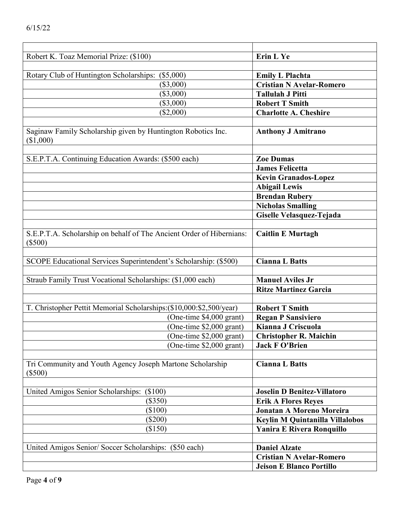| 6/15/22                                           |             |
|---------------------------------------------------|-------------|
|                                                   |             |
| Robert K. Toaz Memorial Prize: (\$100)            |             |
|                                                   |             |
| Rotary Club of Huntington Scholarships: (\$5,000) |             |
|                                                   | $(\$3,000)$ |
|                                                   | $(\$3,000)$ |

| Rotary Club of Huntington Scholarships:<br>(\$5,000)                              | <b>Emily L Plachta</b>             |
|-----------------------------------------------------------------------------------|------------------------------------|
| $(\$3,000)$                                                                       | <b>Cristian N Avelar-Romero</b>    |
| $(\$3,000)$                                                                       | <b>Tallulah J Pitti</b>            |
| $(\$3,000)$                                                                       | <b>Robert T Smith</b>              |
| (\$2,000)                                                                         | <b>Charlotte A. Cheshire</b>       |
|                                                                                   |                                    |
| Saginaw Family Scholarship given by Huntington Robotics Inc.<br>(\$1,000)         | <b>Anthony J Amitrano</b>          |
|                                                                                   |                                    |
| S.E.P.T.A. Continuing Education Awards: (\$500 each)                              | <b>Zoe Dumas</b>                   |
|                                                                                   | <b>James Felicetta</b>             |
|                                                                                   | <b>Kevin Granados-Lopez</b>        |
|                                                                                   | <b>Abigail Lewis</b>               |
|                                                                                   | <b>Brendan Rubery</b>              |
|                                                                                   | <b>Nicholas Smalling</b>           |
|                                                                                   | Giselle Velasquez-Tejada           |
|                                                                                   |                                    |
| S.E.P.T.A. Scholarship on behalf of The Ancient Order of Hibernians:<br>$(\$500)$ | <b>Caitlin E Murtagh</b>           |
|                                                                                   |                                    |
| SCOPE Educational Services Superintendent's Scholarship: (\$500)                  | <b>Cianna L Batts</b>              |
|                                                                                   |                                    |
| Straub Family Trust Vocational Scholarships: (\$1,000 each)                       | <b>Manuel Aviles Jr</b>            |
|                                                                                   | <b>Ritze Martinez Garcia</b>       |
|                                                                                   |                                    |
| T. Christopher Pettit Memorial Scholarships:(\$10,000:\$2,500/year)               | <b>Robert T Smith</b>              |
| (One-time \$4,000 grant)                                                          | <b>Regan P Sansiviero</b>          |
| (One-time \$2,000 grant)                                                          | Kianna J Criscuola                 |
| (One-time \$2,000 grant)                                                          | <b>Christopher R. Maichin</b>      |
| (One-time \$2,000 grant)                                                          | <b>Jack F O'Brien</b>              |
|                                                                                   |                                    |
| Tri Community and Youth Agency Joseph Martone Scholarship<br>$(\$500)$            | <b>Cianna L Batts</b>              |
|                                                                                   |                                    |
| United Amigos Senior Scholarships: (\$100)                                        | <b>Joselin D Benitez-Villatoro</b> |
| $(\$350)$                                                                         | <b>Erik A Flores Reyes</b>         |
| (\$100)                                                                           | <b>Jonatan A Moreno Moreira</b>    |
| $(\$200)$                                                                         | Keylin M Quintanilla Villalobos    |
| (\$150)                                                                           | <b>Yanira E Rivera Ronquillo</b>   |
|                                                                                   |                                    |
| United Amigos Senior/Soccer Scholarships: (\$50 each)                             | <b>Daniel Alzate</b>               |
|                                                                                   | <b>Cristian N Avelar-Romero</b>    |
|                                                                                   | <b>Jeison E Blanco Portillo</b>    |

**Erin L Ye**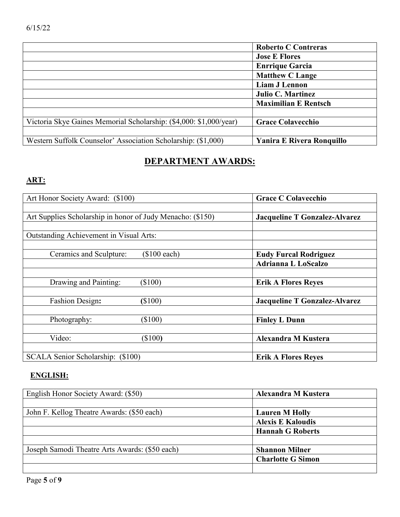|                                                                    | <b>Roberto C Contreras</b>       |
|--------------------------------------------------------------------|----------------------------------|
|                                                                    | <b>Jose E Flores</b>             |
|                                                                    | <b>Enrrique Garcia</b>           |
|                                                                    | <b>Matthew C Lange</b>           |
|                                                                    | <b>Liam J Lennon</b>             |
|                                                                    | <b>Julio C. Martinez</b>         |
|                                                                    | <b>Maximilian E Rentsch</b>      |
|                                                                    |                                  |
| Victoria Skye Gaines Memorial Scholarship: (\$4,000: \$1,000/year) | <b>Grace Colavecchio</b>         |
|                                                                    |                                  |
| Western Suffolk Counselor' Association Scholarship: (\$1,000)      | <b>Yanira E Rivera Ronquillo</b> |

# **DEPARTMENT AWARDS:**

## **ART:**

| Art Honor Society Award: (\$100)                           |                | <b>Grace C Colavecchio</b>           |
|------------------------------------------------------------|----------------|--------------------------------------|
|                                                            |                |                                      |
| Art Supplies Scholarship in honor of Judy Menacho: (\$150) |                | <b>Jacqueline T Gonzalez-Alvarez</b> |
|                                                            |                |                                      |
| Outstanding Achievement in Visual Arts:                    |                |                                      |
|                                                            |                |                                      |
| Ceramics and Sculpture:                                    | $(\$100$ each) | <b>Eudy Furcal Rodriguez</b>         |
|                                                            |                | <b>Adrianna L LoScalzo</b>           |
|                                                            |                |                                      |
| Drawing and Painting:                                      | $(\$100)$      | <b>Erik A Flores Reyes</b>           |
|                                                            |                |                                      |
| Fashion Design:                                            | \$100)         | <b>Jacqueline T Gonzalez-Alvarez</b> |
|                                                            |                |                                      |
| Photography:                                               | $(\$100)$      | <b>Finley L Dunn</b>                 |
|                                                            |                |                                      |
| Video:                                                     | $(\$100)$      | Alexandra M Kustera                  |
|                                                            |                |                                      |
| SCALA Senior Scholarship: (\$100)                          |                | <b>Erik A Flores Reyes</b>           |

#### **ENGLISH:**

| English Honor Society Award: (\$50)            | <b>Alexandra M Kustera</b> |
|------------------------------------------------|----------------------------|
|                                                |                            |
| John F. Kellog Theatre Awards: (\$50 each)     | <b>Lauren M Holly</b>      |
|                                                | <b>Alexis E Kaloudis</b>   |
|                                                | <b>Hannah G Roberts</b>    |
|                                                |                            |
| Joseph Samodi Theatre Arts Awards: (\$50 each) | <b>Shannon Milner</b>      |
|                                                | <b>Charlotte G Simon</b>   |
|                                                |                            |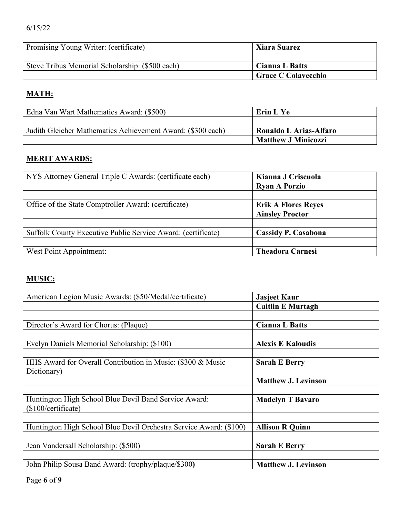#### 6/15/22

| Promising Young Writer: (certificate)           | <b>Xiara Suarez</b>   |
|-------------------------------------------------|-----------------------|
|                                                 |                       |
| Steve Tribus Memorial Scholarship: (\$500 each) | <b>Cianna L Batts</b> |
|                                                 | Grace C Colavecchio   |

#### **MATH:**

| Edna Van Wart Mathematics Award: (\$500)                    | Erin L Ye                  |
|-------------------------------------------------------------|----------------------------|
|                                                             |                            |
| Judith Gleicher Mathematics Achievement Award: (\$300 each) | Ronaldo L Arias-Alfaro     |
|                                                             | <b>Matthew J Minicozzi</b> |

#### **MERIT AWARDS:**

| NYS Attorney General Triple C Awards: (certificate each)     | Kianna J Criscuola         |
|--------------------------------------------------------------|----------------------------|
|                                                              | <b>Ryan A Porzio</b>       |
|                                                              |                            |
| Office of the State Comptroller Award: (certificate)         | <b>Erik A Flores Reyes</b> |
|                                                              | <b>Ainsley Proctor</b>     |
|                                                              |                            |
| Suffolk County Executive Public Service Award: (certificate) | Cassidy P. Casabona        |
|                                                              |                            |
| West Point Appointment:                                      | <b>Theadora Carnesi</b>    |

### **MUSIC:**

| American Legion Music Awards: (\$50/Medal/certificate)             | <b>Jasjeet Kaur</b>        |
|--------------------------------------------------------------------|----------------------------|
|                                                                    | <b>Caitlin E Murtagh</b>   |
|                                                                    |                            |
| Director's Award for Chorus: (Plaque)                              | <b>Cianna L Batts</b>      |
|                                                                    |                            |
| Evelyn Daniels Memorial Scholarship: (\$100)                       | <b>Alexis E Kaloudis</b>   |
|                                                                    |                            |
| HHS Award for Overall Contribution in Music: (\$300 & Music        | <b>Sarah E Berry</b>       |
| Dictionary)                                                        |                            |
|                                                                    | <b>Matthew J. Levinson</b> |
|                                                                    |                            |
| Huntington High School Blue Devil Band Service Award:              | <b>Madelyn T Bavaro</b>    |
| $($100/c$ ertificate)                                              |                            |
|                                                                    |                            |
| Huntington High School Blue Devil Orchestra Service Award: (\$100) | <b>Allison R Quinn</b>     |
|                                                                    |                            |
| Jean Vandersall Scholarship: (\$500)                               | <b>Sarah E Berry</b>       |
|                                                                    |                            |
| John Philip Sousa Band Award: (trophy/plaque/\$300)                | <b>Matthew J. Levinson</b> |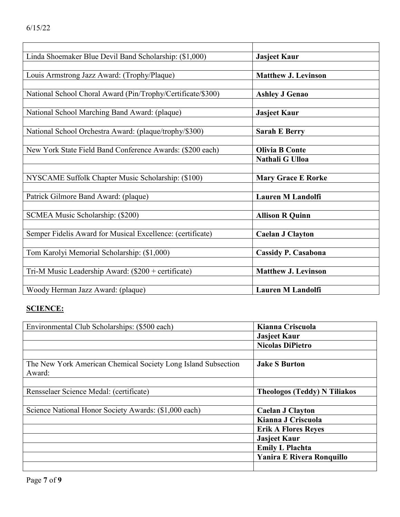| Linda Shoemaker Blue Devil Band Scholarship: (\$1,000)      | <b>Jasjeet Kaur</b>        |
|-------------------------------------------------------------|----------------------------|
|                                                             |                            |
| Louis Armstrong Jazz Award: (Trophy/Plaque)                 | <b>Matthew J. Levinson</b> |
|                                                             |                            |
| National School Choral Award (Pin/Trophy/Certificate/\$300) | <b>Ashley J Genao</b>      |
|                                                             |                            |
| National School Marching Band Award: (plaque)               | <b>Jasjeet Kaur</b>        |
|                                                             |                            |
| National School Orchestra Award: (plaque/trophy/\$300)      | <b>Sarah E Berry</b>       |
|                                                             |                            |
| New York State Field Band Conference Awards: (\$200 each)   | <b>Olivia B Conte</b>      |
|                                                             | Nathali G Ulloa            |
|                                                             |                            |
| NYSCAME Suffolk Chapter Music Scholarship: (\$100)          | <b>Mary Grace E Rorke</b>  |
|                                                             |                            |
| Patrick Gilmore Band Award: (plaque)                        | <b>Lauren M Landolfi</b>   |
|                                                             |                            |
| SCMEA Music Scholarship: (\$200)                            | <b>Allison R Quinn</b>     |
|                                                             |                            |
| Semper Fidelis Award for Musical Excellence: (certificate)  | <b>Caelan J Clayton</b>    |
|                                                             |                            |
| Tom Karolyi Memorial Scholarship: (\$1,000)                 | <b>Cassidy P. Casabona</b> |
|                                                             |                            |
| Tri-M Music Leadership Award: (\$200 + certificate)         | <b>Matthew J. Levinson</b> |
|                                                             |                            |
| Woody Herman Jazz Award: (plaque)                           | <b>Lauren M Landolfi</b>   |

## **SCIENCE:**

| Environmental Club Scholarships: (\$500 each)                 | Kianna Criscuola                    |
|---------------------------------------------------------------|-------------------------------------|
|                                                               | <b>Jasjeet Kaur</b>                 |
|                                                               | <b>Nicolas DiPietro</b>             |
|                                                               |                                     |
| The New York American Chemical Society Long Island Subsection | <b>Jake S Burton</b>                |
| Award:                                                        |                                     |
|                                                               |                                     |
| Rensselaer Science Medal: (certificate)                       | <b>Theologos (Teddy) N Tiliakos</b> |
|                                                               |                                     |
| Science National Honor Society Awards: (\$1,000 each)         | <b>Caelan J Clayton</b>             |
|                                                               | Kianna J Criscuola                  |
|                                                               | <b>Erik A Flores Reyes</b>          |
|                                                               | <b>Jasjeet Kaur</b>                 |
|                                                               | <b>Emily L Plachta</b>              |
|                                                               | <b>Yanira E Rivera Ronquillo</b>    |
|                                                               |                                     |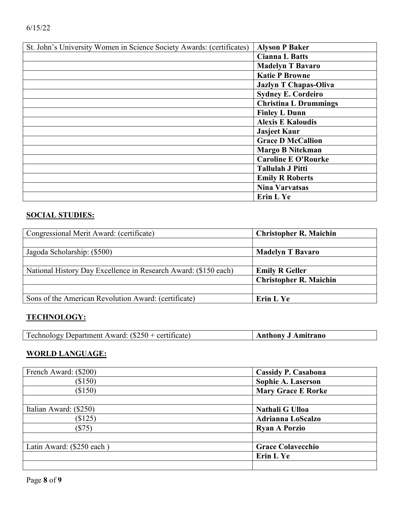| St. John's University Women in Science Society Awards: (certificates) | <b>Alyson P Baker</b>        |
|-----------------------------------------------------------------------|------------------------------|
|                                                                       | <b>Cianna L Batts</b>        |
|                                                                       | <b>Madelyn T Bavaro</b>      |
|                                                                       | <b>Katie P Browne</b>        |
|                                                                       | <b>Jazlyn T Chapas-Oliva</b> |
|                                                                       | <b>Sydney E. Cordeiro</b>    |
|                                                                       | <b>Christina L Drummings</b> |
|                                                                       | <b>Finley L Dunn</b>         |
|                                                                       | <b>Alexis E Kaloudis</b>     |
|                                                                       | <b>Jasjeet Kaur</b>          |
|                                                                       | <b>Grace D McCallion</b>     |
|                                                                       | <b>Margo B Nitekman</b>      |
|                                                                       | <b>Caroline E O'Rourke</b>   |
|                                                                       | <b>Tallulah J Pitti</b>      |
|                                                                       | <b>Emily R Roberts</b>       |
|                                                                       | <b>Nina Varvatsas</b>        |
|                                                                       | Erin L Ye                    |

### **SOCIAL STUDIES:**

| Congressional Merit Award: (certificate)                        | <b>Christopher R. Maichin</b> |
|-----------------------------------------------------------------|-------------------------------|
|                                                                 |                               |
| Jagoda Scholarship: (\$500)                                     | <b>Madelyn T Bavaro</b>       |
|                                                                 |                               |
| National History Day Excellence in Research Award: (\$150 each) | <b>Emily R Geller</b>         |
|                                                                 | <b>Christopher R. Maichin</b> |
|                                                                 |                               |
| Sons of the American Revolution Award: (certificate)            | Erin L Ye                     |

#### **TECHNOLOGY:**

## **WORLD LANGUAGE:**

| French Award: (\$200)     | <b>Cassidy P. Casabona</b> |
|---------------------------|----------------------------|
| (\$150)                   | Sophie A. Laserson         |
| (\$150)                   | <b>Mary Grace E Rorke</b>  |
|                           |                            |
| Italian Award: (\$250)    | Nathali G Ulloa            |
| (\$125)                   | <b>Adrianna LoScalzo</b>   |
| (S75)                     | <b>Ryan A Porzio</b>       |
|                           |                            |
| Latin Award: (\$250 each) | <b>Grace Colavecchio</b>   |
|                           | Erin L Ye                  |
|                           |                            |